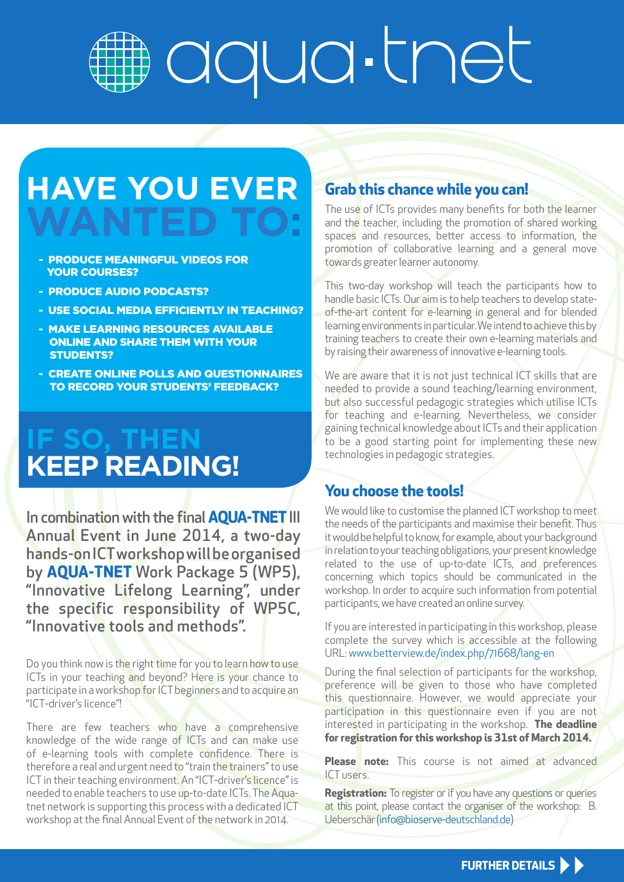# aqua-thet

### **HAVE YOU EVER WANTED**

- PRODUCE MEANINGFUL VIDEOS FOR YOUR COURSES?
- PRODUCE AUDIO PODCASTS?
- USE SOCIAL MEDIA EFFICIENTLY IN TEACHING?
- MAKE LEARNING RESOURCES AVAILABLE ONLINE AND SHARE THEM WITH YOUR STUDENTS?
- CREATE ONLINE POLLS AND QUESTIONNAIRES TO RECORD YOUR STUDENTS' FEEDBACK?

### **IF SO, THEN KEEP READING!**

In combination with the final **AQUA-TNET**III Annual Event in June 2014, a two-day hands-on ICT workshop will be organised by **AQUA-TNET** Work Package 5 (WP5), "Innovative Lifelong Learning", under the specific responsibility of WP5C, "Innovative tools and methods".

Do you think now is the right time for you to learn how to use ICTs in your teaching and beyond? Here is your chance to participate in a workshop for ICT beginners and to acquire an "ICT-driver's licence"!

There are few teachers who have a comprehensive knowledge of the wide range of ICTs and can make use of e-learning tools with complete confidence. There is therefore a real and urgent need to "train the trainers" to use ICT in their teaching environment. An "ICT-driver's licence" is needed to enable teachers to use up-to-date ICTs. The Aquatnet network is supporting this process with a dedicated ICT workshop at the final Annual Event of the network in 2014.

#### **Grab this chance while you can!**

The use of ICTs provides many benefits for both the learner and the teacher, including the promotion of shared working spaces and resources, better access to information, the promotion of collaborative learning and a general move towards greater learner autonomy.

This two-day workshop will teach the participants how to handle basic ICTs. Our aim is to help teachers to develop stateof-the-art content for e-learning in general and for blended learning environments in particular. We intend to achieve this by training teachers to create their own e-learning materials and by raising their awareness of innovative e-learning tools.

We are aware that it is not just technical ICT skills that are needed to provide a sound teaching/learning environment, but also successful pedagogic strategies which utilise ICTs for teaching and e-learning. Nevertheless, we consider gaining technical knowledge about ICTs and their application to be a good starting point for implementing these new technologies in pedagogic strategies.

#### **You choose the tools!**

We would like to customise the planned ICT workshop to meet the needs of the participants and maximise their benefit. Thus it would be helpful to know, for example, about your background in relation to your teaching obligations, your present knowledge related to the use of up-to-date ICTs, and preferences concerning which topics should be communicated in the workshop. In order to acquire such information from potential participants, we have created an online survey.

If you are interested in participating in this workshop, please complete the survey which is accessible at the following URL: www.betterview.de/index.php/71668/lang-en

During the final selection of participants for the workshop, preference will be given to those who have completed this questionnaire. However, we would appreciate your participation in this questionnaire even if you are not interested in participating in the workshop. **The deadline for registration for this workshop is 31st of March 2014.**

**Please note:** This course is not aimed at advanced ICT users.

**Registration:** To register or if you have any questions or queries at this point, please contact the organiser of the workshop: B. Ueberschär (info@bioserve-deutschland.de)